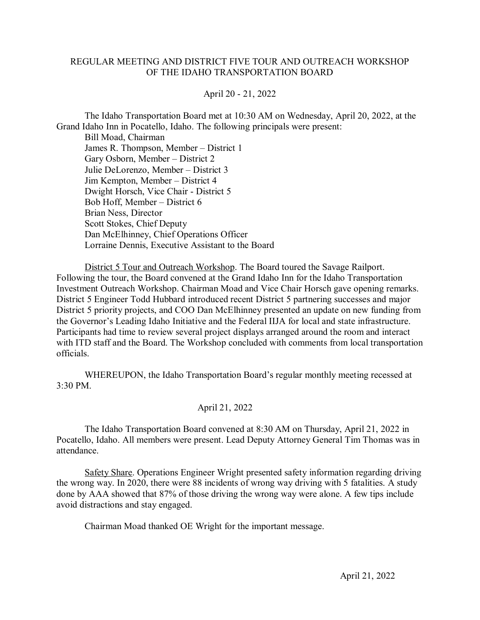## REGULAR MEETING AND DISTRICT FIVE TOUR AND OUTREACH WORKSHOP OF THE IDAHO TRANSPORTATION BOARD

## April 20 - 21, 2022

The Idaho Transportation Board met at 10:30 AM on Wednesday, April 20, 2022, at the Grand Idaho Inn in Pocatello, Idaho. The following principals were present:

Bill Moad, Chairman James R. Thompson, Member – District 1 Gary Osborn, Member – District 2 Julie DeLorenzo, Member – District 3 Jim Kempton, Member – District 4 Dwight Horsch, Vice Chair - District 5 Bob Hoff, Member – District 6 Brian Ness, Director Scott Stokes, Chief Deputy Dan McElhinney, Chief Operations Officer Lorraine Dennis, Executive Assistant to the Board

District 5 Tour and Outreach Workshop. The Board toured the Savage Railport. Following the tour, the Board convened at the Grand Idaho Inn for the Idaho Transportation Investment Outreach Workshop. Chairman Moad and Vice Chair Horsch gave opening remarks. District 5 Engineer Todd Hubbard introduced recent District 5 partnering successes and major District 5 priority projects, and COO Dan McElhinney presented an update on new funding from the Governor's Leading Idaho Initiative and the Federal IIJA for local and state infrastructure. Participants had time to review several project displays arranged around the room and interact with ITD staff and the Board. The Workshop concluded with comments from local transportation officials.

WHEREUPON, the Idaho Transportation Board's regular monthly meeting recessed at 3:30 PM.

## April 21, 2022

The Idaho Transportation Board convened at 8:30 AM on Thursday, April 21, 2022 in Pocatello, Idaho. All members were present. Lead Deputy Attorney General Tim Thomas was in attendance.

Safety Share. Operations Engineer Wright presented safety information regarding driving the wrong way. In 2020, there were 88 incidents of wrong way driving with 5 fatalities. A study done by AAA showed that 87% of those driving the wrong way were alone. A few tips include avoid distractions and stay engaged.

Chairman Moad thanked OE Wright for the important message.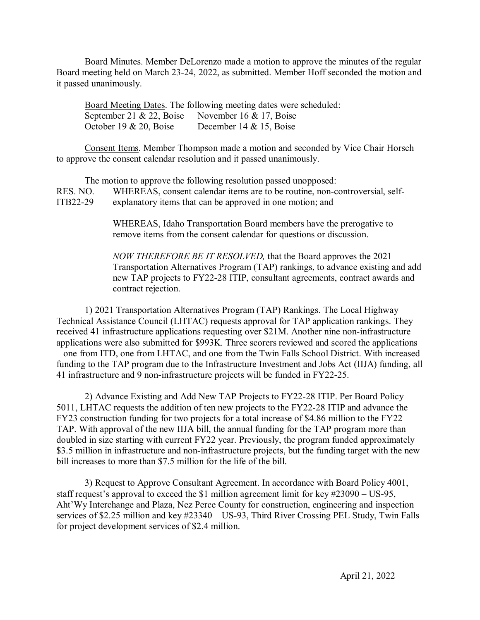Board Minutes. Member DeLorenzo made a motion to approve the minutes of the regular Board meeting held on March 23-24, 2022, as submitted. Member Hoff seconded the motion and it passed unanimously.

Board Meeting Dates. The following meeting dates were scheduled: September 21 & 22, Boise November 16 & 17, Boise October 19 & 20, Boise December 14 & 15, Boise

Consent Items. Member Thompson made a motion and seconded by Vice Chair Horsch to approve the consent calendar resolution and it passed unanimously.

The motion to approve the following resolution passed unopposed: RES. NO. WHEREAS, consent calendar items are to be routine, non-controversial, self-ITB22-29 explanatory items that can be approved in one motion; and

> WHEREAS, Idaho Transportation Board members have the prerogative to remove items from the consent calendar for questions or discussion.

*NOW THEREFORE BE IT RESOLVED,* that the Board approves the 2021 Transportation Alternatives Program (TAP) rankings, to advance existing and add new TAP projects to FY22-28 ITIP, consultant agreements, contract awards and contract rejection.

1) 2021 Transportation Alternatives Program (TAP) Rankings. The Local Highway Technical Assistance Council (LHTAC) requests approval for TAP application rankings. They received 41 infrastructure applications requesting over \$21M. Another nine non-infrastructure applications were also submitted for \$993K. Three scorers reviewed and scored the applications – one from ITD, one from LHTAC, and one from the Twin Falls School District. With increased funding to the TAP program due to the Infrastructure Investment and Jobs Act (IIJA) funding, all 41 infrastructure and 9 non-infrastructure projects will be funded in FY22-25.

2) Advance Existing and Add New TAP Projects to FY22-28 ITIP. Per Board Policy 5011, LHTAC requests the addition of ten new projects to the FY22-28 ITIP and advance the FY23 construction funding for two projects for a total increase of \$4.86 million to the FY22 TAP. With approval of the new IIJA bill, the annual funding for the TAP program more than doubled in size starting with current FY22 year. Previously, the program funded approximately \$3.5 million in infrastructure and non-infrastructure projects, but the funding target with the new bill increases to more than \$7.5 million for the life of the bill.

3) Request to Approve Consultant Agreement. In accordance with Board Policy 4001, staff request's approval to exceed the \$1 million agreement limit for key #23090 – US-95, Aht'Wy Interchange and Plaza, Nez Perce County for construction, engineering and inspection services of \$2.25 million and key #23340 – US-93, Third River Crossing PEL Study, Twin Falls for project development services of \$2.4 million.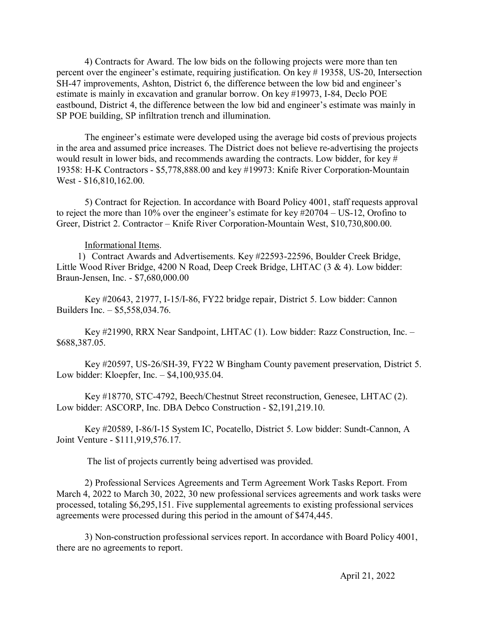4) Contracts for Award. The low bids on the following projects were more than ten percent over the engineer's estimate, requiring justification. On key # 19358, US-20, Intersection SH-47 improvements, Ashton, District 6, the difference between the low bid and engineer's estimate is mainly in excavation and granular borrow. On key #19973, I-84, Declo POE eastbound, District 4, the difference between the low bid and engineer's estimate was mainly in SP POE building, SP infiltration trench and illumination.

The engineer's estimate were developed using the average bid costs of previous projects in the area and assumed price increases. The District does not believe re-advertising the projects would result in lower bids, and recommends awarding the contracts. Low bidder, for key # 19358: H-K Contractors - \$5,778,888.00 and key #19973: Knife River Corporation-Mountain West - \$16,810,162.00.

5) Contract for Rejection. In accordance with Board Policy 4001, staff requests approval to reject the more than 10% over the engineer's estimate for key #20704 – US-12, Orofino to Greer, District 2. Contractor – Knife River Corporation-Mountain West, \$10,730,800.00.

## Informational Items.

1) Contract Awards and Advertisements. Key #22593-22596, Boulder Creek Bridge, Little Wood River Bridge, 4200 N Road, Deep Creek Bridge, LHTAC (3 & 4). Low bidder: Braun-Jensen, Inc. - \$7,680,000.00

Key #20643, 21977, I-15/I-86, FY22 bridge repair, District 5. Low bidder: Cannon Builders Inc. – \$5,558,034.76.

Key #21990, RRX Near Sandpoint, LHTAC (1). Low bidder: Razz Construction, Inc. – \$688,387.05.

Key #20597, US-26/SH-39, FY22 W Bingham County pavement preservation, District 5. Low bidder: Kloepfer, Inc. – \$4,100,935.04.

Key #18770, STC-4792, Beech/Chestnut Street reconstruction, Genesee, LHTAC (2). Low bidder: ASCORP, Inc. DBA Debco Construction - \$2,191,219.10.

Key #20589, I-86/I-15 System IC, Pocatello, District 5. Low bidder: Sundt-Cannon, A Joint Venture - \$111,919,576.17.

The list of projects currently being advertised was provided.

 2) Professional Services Agreements and Term Agreement Work Tasks Report. From March 4, 2022 to March 30, 2022, 30 new professional services agreements and work tasks were processed, totaling \$6,295,151. Five supplemental agreements to existing professional services agreements were processed during this period in the amount of \$474,445.

3) Non-construction professional services report. In accordance with Board Policy 4001, there are no agreements to report.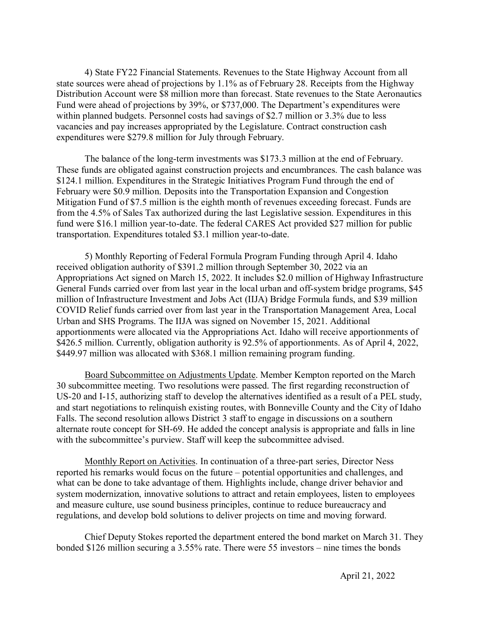4) State FY22 Financial Statements. Revenues to the State Highway Account from all state sources were ahead of projections by 1.1% as of February 28. Receipts from the Highway Distribution Account were \$8 million more than forecast. State revenues to the State Aeronautics Fund were ahead of projections by 39%, or \$737,000. The Department's expenditures were within planned budgets. Personnel costs had savings of \$2.7 million or 3.3% due to less vacancies and pay increases appropriated by the Legislature. Contract construction cash expenditures were \$279.8 million for July through February.

The balance of the long-term investments was \$173.3 million at the end of February. These funds are obligated against construction projects and encumbrances. The cash balance was \$124.1 million. Expenditures in the Strategic Initiatives Program Fund through the end of February were \$0.9 million. Deposits into the Transportation Expansion and Congestion Mitigation Fund of \$7.5 million is the eighth month of revenues exceeding forecast. Funds are from the 4.5% of Sales Tax authorized during the last Legislative session. Expenditures in this fund were \$16.1 million year-to-date. The federal CARES Act provided \$27 million for public transportation. Expenditures totaled \$3.1 million year-to-date.

5) Monthly Reporting of Federal Formula Program Funding through April 4. Idaho received obligation authority of \$391.2 million through September 30, 2022 via an Appropriations Act signed on March 15, 2022. It includes \$2.0 million of Highway Infrastructure General Funds carried over from last year in the local urban and off-system bridge programs, \$45 million of Infrastructure Investment and Jobs Act (IIJA) Bridge Formula funds, and \$39 million COVID Relief funds carried over from last year in the Transportation Management Area, Local Urban and SHS Programs. The IIJA was signed on November 15, 2021. Additional apportionments were allocated via the Appropriations Act. Idaho will receive apportionments of \$426.5 million. Currently, obligation authority is 92.5% of apportionments. As of April 4, 2022, \$449.97 million was allocated with \$368.1 million remaining program funding.

Board Subcommittee on Adjustments Update. Member Kempton reported on the March 30 subcommittee meeting. Two resolutions were passed. The first regarding reconstruction of US-20 and I-15, authorizing staff to develop the alternatives identified as a result of a PEL study, and start negotiations to relinquish existing routes, with Bonneville County and the City of Idaho Falls. The second resolution allows District 3 staff to engage in discussions on a southern alternate route concept for SH-69. He added the concept analysis is appropriate and falls in line with the subcommittee's purview. Staff will keep the subcommittee advised.

Monthly Report on Activities. In continuation of a three-part series, Director Ness reported his remarks would focus on the future – potential opportunities and challenges, and what can be done to take advantage of them. Highlights include, change driver behavior and system modernization, innovative solutions to attract and retain employees, listen to employees and measure culture, use sound business principles, continue to reduce bureaucracy and regulations, and develop bold solutions to deliver projects on time and moving forward.

Chief Deputy Stokes reported the department entered the bond market on March 31. They bonded \$126 million securing a 3.55% rate. There were 55 investors – nine times the bonds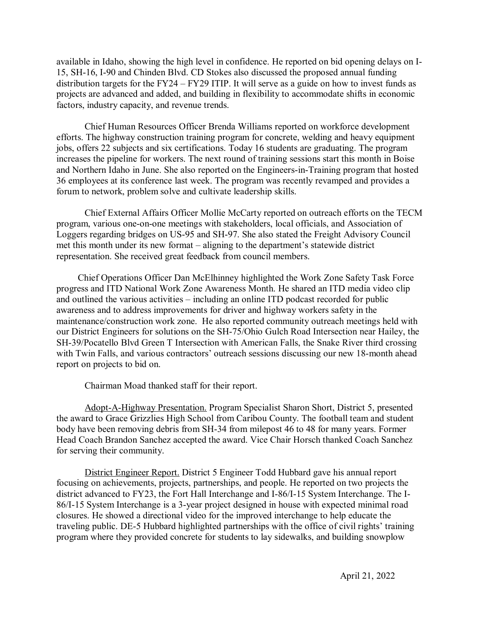available in Idaho, showing the high level in confidence. He reported on bid opening delays on I-15, SH-16, I-90 and Chinden Blvd. CD Stokes also discussed the proposed annual funding distribution targets for the FY24 – FY29 ITIP. It will serve as a guide on how to invest funds as projects are advanced and added, and building in flexibility to accommodate shifts in economic factors, industry capacity, and revenue trends.

Chief Human Resources Officer Brenda Williams reported on workforce development efforts. The highway construction training program for concrete, welding and heavy equipment jobs, offers 22 subjects and six certifications. Today 16 students are graduating. The program increases the pipeline for workers. The next round of training sessions start this month in Boise and Northern Idaho in June. She also reported on the Engineers-in-Training program that hosted 36 employees at its conference last week. The program was recently revamped and provides a forum to network, problem solve and cultivate leadership skills.

Chief External Affairs Officer Mollie McCarty reported on outreach efforts on the TECM program, various one-on-one meetings with stakeholders, local officials, and Association of Loggers regarding bridges on US-95 and SH-97. She also stated the Freight Advisory Council met this month under its new format – aligning to the department's statewide district representation. She received great feedback from council members.

Chief Operations Officer Dan McElhinney highlighted the Work Zone Safety Task Force progress and ITD National Work Zone Awareness Month. He shared an ITD media video clip and outlined the various activities – including an online ITD podcast recorded for public awareness and to address improvements for driver and highway workers safety in the maintenance/construction work zone. He also reported community outreach meetings held with our District Engineers for solutions on the SH-75/Ohio Gulch Road Intersection near Hailey, the SH-39/Pocatello Blvd Green T Intersection with American Falls, the Snake River third crossing with Twin Falls, and various contractors' outreach sessions discussing our new 18-month ahead report on projects to bid on.

Chairman Moad thanked staff for their report.

Adopt-A-Highway Presentation. Program Specialist Sharon Short, District 5, presented the award to Grace Grizzlies High School from Caribou County. The football team and student body have been removing debris from SH-34 from milepost 46 to 48 for many years. Former Head Coach Brandon Sanchez accepted the award. Vice Chair Horsch thanked Coach Sanchez for serving their community.

District Engineer Report. District 5 Engineer Todd Hubbard gave his annual report focusing on achievements, projects, partnerships, and people. He reported on two projects the district advanced to FY23, the Fort Hall Interchange and I-86/I-15 System Interchange. The I-86/I-15 System Interchange is a 3-year project designed in house with expected minimal road closures. He showed a directional video for the improved interchange to help educate the traveling public. DE-5 Hubbard highlighted partnerships with the office of civil rights' training program where they provided concrete for students to lay sidewalks, and building snowplow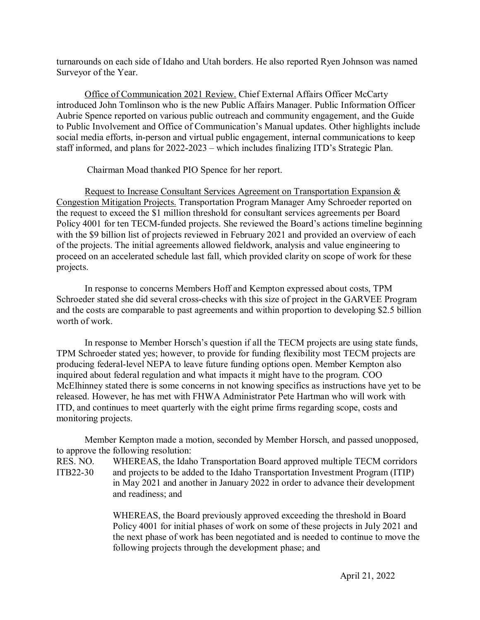turnarounds on each side of Idaho and Utah borders. He also reported Ryen Johnson was named Surveyor of the Year.

Office of Communication 2021 Review. Chief External Affairs Officer McCarty introduced John Tomlinson who is the new Public Affairs Manager. Public Information Officer Aubrie Spence reported on various public outreach and community engagement, and the Guide to Public Involvement and Office of Communication's Manual updates. Other highlights include social media efforts, in-person and virtual public engagement, internal communications to keep staff informed, and plans for 2022-2023 – which includes finalizing ITD's Strategic Plan.

Chairman Moad thanked PIO Spence for her report.

Request to Increase Consultant Services Agreement on Transportation Expansion & Congestion Mitigation Projects. Transportation Program Manager Amy Schroeder reported on the request to exceed the \$1 million threshold for consultant services agreements per Board Policy 4001 for ten TECM-funded projects. She reviewed the Board's actions timeline beginning with the \$9 billion list of projects reviewed in February 2021 and provided an overview of each of the projects. The initial agreements allowed fieldwork, analysis and value engineering to proceed on an accelerated schedule last fall, which provided clarity on scope of work for these projects.

In response to concerns Members Hoff and Kempton expressed about costs, TPM Schroeder stated she did several cross-checks with this size of project in the GARVEE Program and the costs are comparable to past agreements and within proportion to developing \$2.5 billion worth of work.

In response to Member Horsch's question if all the TECM projects are using state funds, TPM Schroeder stated yes; however, to provide for funding flexibility most TECM projects are producing federal-level NEPA to leave future funding options open. Member Kempton also inquired about federal regulation and what impacts it might have to the program. COO McElhinney stated there is some concerns in not knowing specifics as instructions have yet to be released. However, he has met with FHWA Administrator Pete Hartman who will work with ITD, and continues to meet quarterly with the eight prime firms regarding scope, costs and monitoring projects.

Member Kempton made a motion, seconded by Member Horsch, and passed unopposed, to approve the following resolution: RES. NO. WHEREAS, the Idaho Transportation Board approved multiple TECM corridors ITB22-30 and projects to be added to the Idaho Transportation Investment Program (ITIP) in May 2021 and another in January 2022 in order to advance their development and readiness; and

> WHEREAS, the Board previously approved exceeding the threshold in Board Policy 4001 for initial phases of work on some of these projects in July 2021 and the next phase of work has been negotiated and is needed to continue to move the following projects through the development phase; and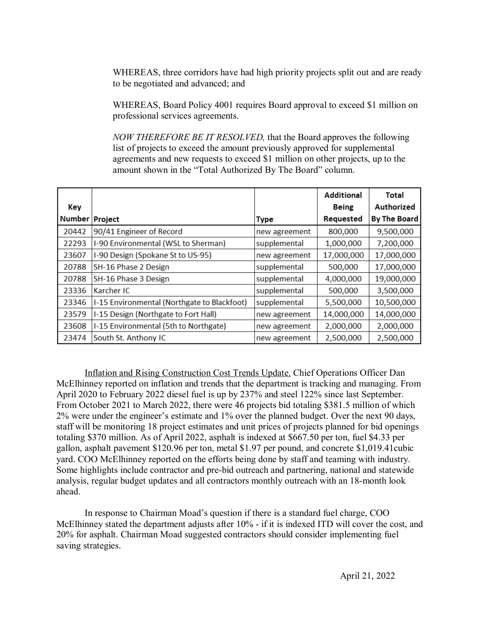WHEREAS, three corridors have had high priority projects split out and are ready to be negotiated and advanced; and

WHEREAS, Board Policy 4001 requires Board approval to exceed \$1 million on professional services agreements.

*NOW THEREFORE BE IT RESOLVED,* that the Board approves the following list of projects to exceed the amount previously approved for supplemental agreements and new requests to exceed \$1 million on other projects, up to the amount shown in the "Total Authorized By The Board" column.

|               |                                             |               | <b>Additional</b> | <b>Total</b>        |
|---------------|---------------------------------------------|---------------|-------------------|---------------------|
| Key           |                                             |               | <b>Being</b>      | Authorized          |
| <b>Number</b> | <b>Project</b>                              | <b>Type</b>   | Requested         | <b>By The Board</b> |
| 20442         | 90/41 Engineer of Record                    | new agreement | 800,000           | 9,500,000           |
| 22293         | I-90 Environmental (WSL to Sherman)         | supplemental  | 1,000,000         | 7,200,000           |
| 23607         | I-90 Design (Spokane St to US-95)           | new agreement | 17,000,000        | 17,000,000          |
| 20788         | SH-16 Phase 2 Design                        | supplemental  | 500,000           | 17,000,000          |
| 20788         | SH-16 Phase 3 Design                        | supplemental  | 4,000,000         | 19,000,000          |
| 23336         | Karcher IC                                  | supplemental  | 500,000           | 3,500,000           |
| 23346         | I-15 Environmental (Northgate to Blackfoot) | supplemental  | 5,500,000         | 10,500,000          |
| 23579         | I-15 Design (Northgate to Fort Hall)        | new agreement | 14,000,000        | 14,000,000          |
| 23608         | I-15 Environmental (5th to Northgate)       | new agreement | 2,000,000         | 2,000,000           |
| 23474         | South St. Anthony IC                        | new agreement | 2,500,000         | 2,500,000           |

Inflation and Rising Construction Cost Trends Update. Chief Operations Officer Dan McElhinney reported on inflation and trends that the department is tracking and managing. From April 2020 to February 2022 diesel fuel is up by 237% and steel 122% since last September. From October 2021 to March 2022, there were 46 projects bid totaling \$381.5 million of which 2% were under the engineer's estimate and 1% over the planned budget. Over the next 90 days, staff will be monitoring 18 project estimates and unit prices of projects planned for bid openings totaling \$370 million. As of April 2022, asphalt is indexed at \$667.50 per ton, fuel \$4.33 per gallon, asphalt pavement \$120.96 per ton, metal \$1.97 per pound, and concrete \$1,019.41cubic yard. COO McElhinney reported on the efforts being done by staff and teaming with industry. Some highlights include contractor and pre-bid outreach and partnering, national and statewide analysis, regular budget updates and all contractors monthly outreach with an 18-month look ahead.

In response to Chairman Moad's question if there is a standard fuel charge, COO McElhinney stated the department adjusts after 10% - if it is indexed ITD will cover the cost, and 20% for asphalt. Chairman Moad suggested contractors should consider implementing fuel saving strategies.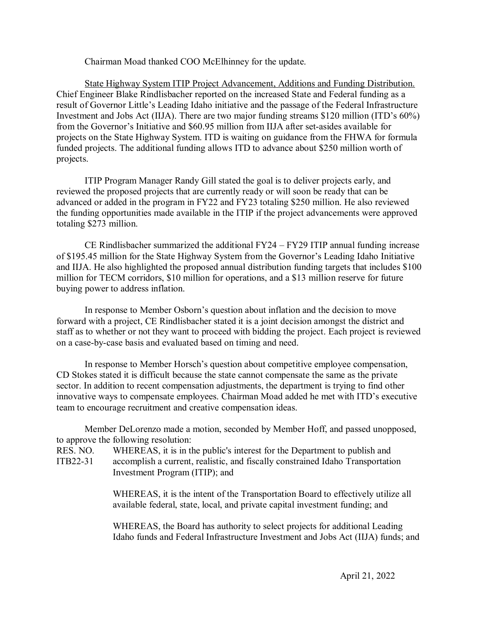Chairman Moad thanked COO McElhinney for the update.

State Highway System ITIP Project Advancement, Additions and Funding Distribution. Chief Engineer Blake Rindlisbacher reported on the increased State and Federal funding as a result of Governor Little's Leading Idaho initiative and the passage of the Federal Infrastructure Investment and Jobs Act (IIJA). There are two major funding streams \$120 million (ITD's 60%) from the Governor's Initiative and \$60.95 million from IIJA after set-asides available for projects on the State Highway System. ITD is waiting on guidance from the FHWA for formula funded projects. The additional funding allows ITD to advance about \$250 million worth of projects.

ITIP Program Manager Randy Gill stated the goal is to deliver projects early, and reviewed the proposed projects that are currently ready or will soon be ready that can be advanced or added in the program in FY22 and FY23 totaling \$250 million. He also reviewed the funding opportunities made available in the ITIP if the project advancements were approved totaling \$273 million.

CE Rindlisbacher summarized the additional FY24 – FY29 ITIP annual funding increase of \$195.45 million for the State Highway System from the Governor's Leading Idaho Initiative and IIJA. He also highlighted the proposed annual distribution funding targets that includes \$100 million for TECM corridors, \$10 million for operations, and a \$13 million reserve for future buying power to address inflation.

In response to Member Osborn's question about inflation and the decision to move forward with a project, CE Rindlisbacher stated it is a joint decision amongst the district and staff as to whether or not they want to proceed with bidding the project. Each project is reviewed on a case-by-case basis and evaluated based on timing and need.

In response to Member Horsch's question about competitive employee compensation, CD Stokes stated it is difficult because the state cannot compensate the same as the private sector. In addition to recent compensation adjustments, the department is trying to find other innovative ways to compensate employees. Chairman Moad added he met with ITD's executive team to encourage recruitment and creative compensation ideas.

Member DeLorenzo made a motion, seconded by Member Hoff, and passed unopposed, to approve the following resolution:

RES. NO. WHEREAS, it is in the public's interest for the Department to publish and ITB22-31 accomplish a current, realistic, and fiscally constrained Idaho Transportation Investment Program (ITIP); and

> WHEREAS, it is the intent of the Transportation Board to effectively utilize all available federal, state, local, and private capital investment funding; and

WHEREAS, the Board has authority to select projects for additional Leading Idaho funds and Federal Infrastructure Investment and Jobs Act (IIJA) funds; and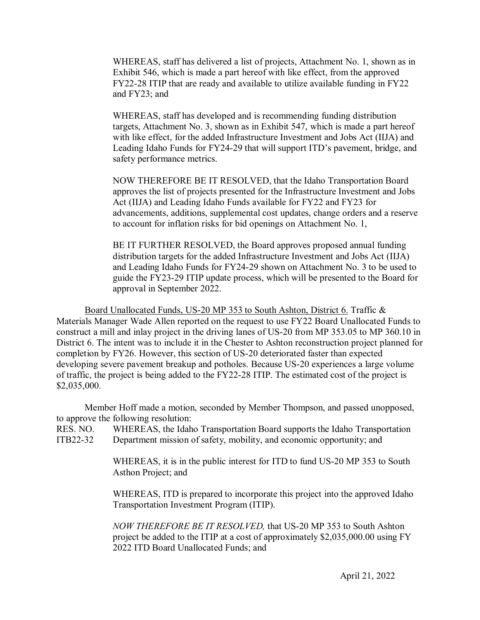WHEREAS, staff has delivered a list of projects, Attachment No. 1, shown as in Exhibit 546, which is made a part hereof with like effect, from the approved FY22-28 ITIP that are ready and available to utilize available funding in FY22 and FY23; and

WHEREAS, staff has developed and is recommending funding distribution targets, Attachment No. 3, shown as in Exhibit 547, which is made a part hereof with like effect, for the added Infrastructure Investment and Jobs Act (IIJA) and Leading Idaho Funds for FY24-29 that will support ITD's pavement, bridge, and safety performance metrics.

NOW THEREFORE BE IT RESOLVED, that the Idaho Transportation Board approves the list of projects presented for the Infrastructure Investment and Jobs Act (IIJA) and Leading Idaho Funds available for FY22 and FY23 for advancements, additions, supplemental cost updates, change orders and a reserve to account for inflation risks for bid openings on Attachment No. 1,

BE IT FURTHER RESOLVED, the Board approves proposed annual funding distribution targets for the added Infrastructure Investment and Jobs Act (IIJA) and Leading Idaho Funds for FY24-29 shown on Attachment No. 3 to be used to guide the FY23-29 ITIP update process, which will be presented to the Board for approval in September 2022.

Board Unallocated Funds, US-20 MP 353 to South Ashton, District 6. Traffic & Materials Manager Wade Allen reported on the request to use FY22 Board Unallocated Funds to construct a mill and inlay project in the driving lanes of US-20 from MP 353.05 to MP 360.10 in District 6. The intent was to include it in the Chester to Ashton reconstruction project planned for completion by FY26. However, this section of US-20 deteriorated faster than expected developing severe pavement breakup and potholes. Because US-20 experiences a large volume of traffic, the project is being added to the FY22-28 ITIP. The estimated cost of the project is \$2,035,000.

Member Hoff made a motion, seconded by Member Thompson, and passed unopposed, to approve the following resolution:

RES. NO. WHEREAS, the Idaho Transportation Board supports the Idaho Transportation ITB22-32 Department mission of safety, mobility, and economic opportunity; and

> WHEREAS, it is in the public interest for ITD to fund US-20 MP 353 to South Asthon Project; and

> WHEREAS, ITD is prepared to incorporate this project into the approved Idaho Transportation Investment Program (ITIP).

> *NOW THEREFORE BE IT RESOLVED,* that US-20 MP 353 to South Ashton project be added to the ITIP at a cost of approximately \$2,035,000.00 using FY 2022 ITD Board Unallocated Funds; and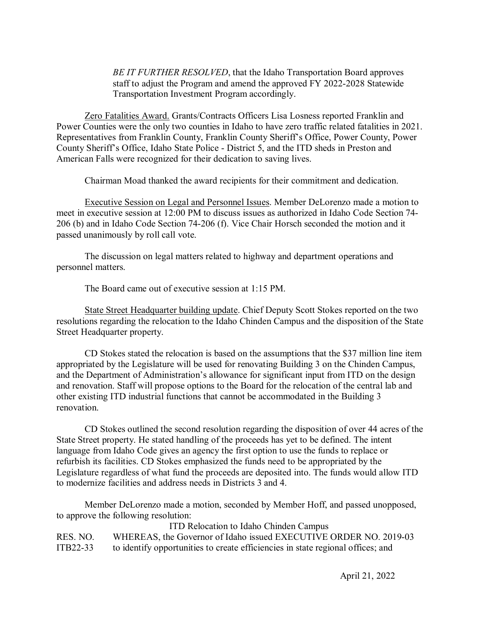*BE IT FURTHER RESOLVED*, that the Idaho Transportation Board approves staff to adjust the Program and amend the approved FY 2022-2028 Statewide Transportation Investment Program accordingly.

 Zero Fatalities Award. Grants/Contracts Officers Lisa Losness reported Franklin and Power Counties were the only two counties in Idaho to have zero traffic related fatalities in 2021. Representatives from Franklin County, Franklin County Sheriff's Office, Power County, Power County Sheriff's Office, Idaho State Police - District 5, and the ITD sheds in Preston and American Falls were recognized for their dedication to saving lives.

Chairman Moad thanked the award recipients for their commitment and dedication.

Executive Session on Legal and Personnel Issues. Member DeLorenzo made a motion to meet in executive session at 12:00 PM to discuss issues as authorized in Idaho Code Section 74- 206 (b) and in Idaho Code Section 74-206 (f). Vice Chair Horsch seconded the motion and it passed unanimously by roll call vote.

The discussion on legal matters related to highway and department operations and personnel matters.

The Board came out of executive session at 1:15 PM.

State Street Headquarter building update. Chief Deputy Scott Stokes reported on the two resolutions regarding the relocation to the Idaho Chinden Campus and the disposition of the State Street Headquarter property.

CD Stokes stated the relocation is based on the assumptions that the \$37 million line item appropriated by the Legislature will be used for renovating Building 3 on the Chinden Campus, and the Department of Administration's allowance for significant input from ITD on the design and renovation. Staff will propose options to the Board for the relocation of the central lab and other existing ITD industrial functions that cannot be accommodated in the Building 3 renovation.

CD Stokes outlined the second resolution regarding the disposition of over 44 acres of the State Street property. He stated handling of the proceeds has yet to be defined. The intent language from Idaho Code gives an agency the first option to use the funds to replace or refurbish its facilities. CD Stokes emphasized the funds need to be appropriated by the Legislature regardless of what fund the proceeds are deposited into. The funds would allow ITD to modernize facilities and address needs in Districts 3 and 4.

Member DeLorenzo made a motion, seconded by Member Hoff, and passed unopposed, to approve the following resolution:

ITD Relocation to Idaho Chinden Campus RES. NO. WHEREAS, the Governor of Idaho issued EXECUTIVE ORDER NO. 2019-03 ITB22-33 to identify opportunities to create efficiencies in state regional offices; and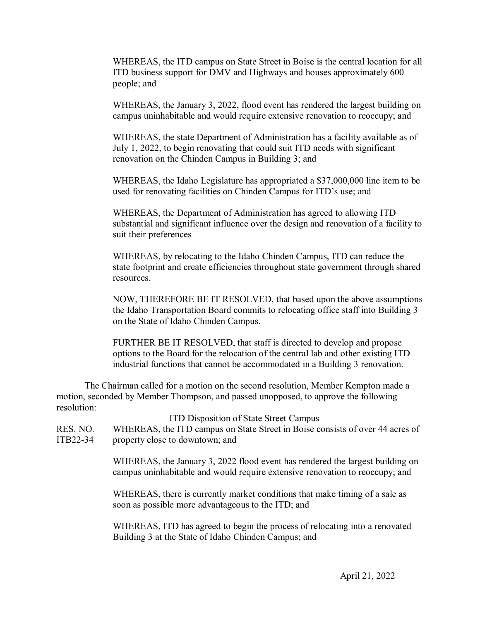WHEREAS, the ITD campus on State Street in Boise is the central location for all ITD business support for DMV and Highways and houses approximately 600 people; and

WHEREAS, the January 3, 2022, flood event has rendered the largest building on campus uninhabitable and would require extensive renovation to reoccupy; and

WHEREAS, the state Department of Administration has a facility available as of July 1, 2022, to begin renovating that could suit ITD needs with significant renovation on the Chinden Campus in Building 3; and

WHEREAS, the Idaho Legislature has appropriated a \$37,000,000 line item to be used for renovating facilities on Chinden Campus for ITD's use; and

WHEREAS, the Department of Administration has agreed to allowing ITD substantial and significant influence over the design and renovation of a facility to suit their preferences

WHEREAS, by relocating to the Idaho Chinden Campus, ITD can reduce the state footprint and create efficiencies throughout state government through shared resources.

NOW, THEREFORE BE IT RESOLVED, that based upon the above assumptions the Idaho Transportation Board commits to relocating office staff into Building 3 on the State of Idaho Chinden Campus.

FURTHER BE IT RESOLVED, that staff is directed to develop and propose options to the Board for the relocation of the central lab and other existing ITD industrial functions that cannot be accommodated in a Building 3 renovation.

The Chairman called for a motion on the second resolution, Member Kempton made a motion, seconded by Member Thompson, and passed unopposed, to approve the following resolution:

| RES. NO.<br>ITB22-34 | ITD Disposition of State Street Campus<br>WHEREAS, the ITD campus on State Street in Boise consists of over 44 acres of<br>property close to downtown; and    |
|----------------------|---------------------------------------------------------------------------------------------------------------------------------------------------------------|
|                      | WHEREAS, the January 3, 2022 flood event has rendered the largest building on<br>campus uninhabitable and would require extensive renovation to reoccupy; and |
|                      | WHEREAS, there is currently market conditions that make timing of a sale as<br>soon as possible more advantageous to the ITD; and                             |
|                      | WHEREAS, ITD has agreed to begin the process of relocating into a renovated<br>Building 3 at the State of Idaho Chinden Campus; and                           |